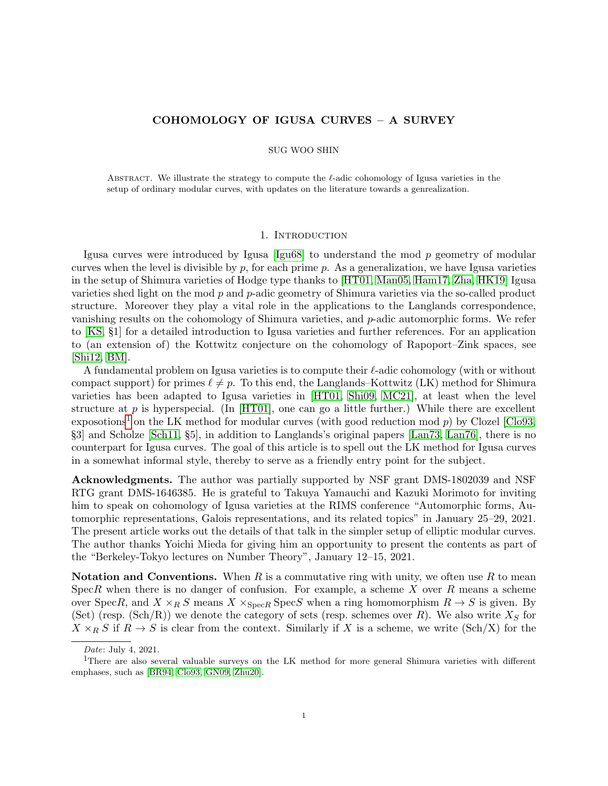## COHOMOLOGY OF IGUSA CURVES – A SURVEY

#### SUG WOO SHIN

ABSTRACT. We illustrate the strategy to compute the  $\ell$ -adic cohomology of Igusa varieties in the setup of ordinary modular curves, with updates on the literature towards a genrealization.

#### 1. INTRODUCTION

Igusa curves were introduced by Igusa  $\left[\frac{Igu68}{Igu68}\right]$  to understand the mod p geometry of modular curves when the level is divisible by  $p$ , for each prime  $p$ . As a generalization, we have Igusa varieties in the setup of Shimura varieties of Hodge type thanks to [\[HT01,](#page-9-1) [Man05,](#page-9-2) [Ham17,](#page-9-3) [Zha,](#page-10-0) [HK19\]](#page-9-4) Igusa varieties shed light on the mod  $p$  and  $p$ -adic geometry of Shimura varieties via the so-called product structure. Moreover they play a vital role in the applications to the Langlands correspondence, vanishing results on the cohomology of Shimura varieties, and p-adic automorphic forms. We refer to [\[KS,](#page-9-5) §1] for a detailed introduction to Igusa varieties and further references. For an application to (an extension of) the Kottwitz conjecture on the cohomology of Rapoport–Zink spaces, see  $[\text{Shi12}, \text{BM}]$ .

A fundamental problem on Igusa varieties is to compute their  $\ell$ -adic cohomology (with or without compact support) for primes  $\ell \neq p$ . To this end, the Langlands–Kottwitz (LK) method for Shimura varieties has been adapted to Igusa varieties in [\[HT01,](#page-9-1) [Shi09,](#page-9-7) [MC21\]](#page-9-8), at least when the level structure at  $p$  is hyperspecial. (In [\[HT01\]](#page-9-1), one can go a little further.) While there are excellent exposotions<sup>[1](#page-0-0)</sup> on the LK method for modular curves (with good reduction mod  $p$ ) by Clozel [\[Clo93,](#page-9-9) §3] and Scholze [\[Sch11,](#page-9-10) §5], in addition to Langlands's original papers [\[Lan73,](#page-9-11) [Lan76\]](#page-9-12), there is no counterpart for Igusa curves. The goal of this article is to spell out the LK method for Igusa curves in a somewhat informal style, thereby to serve as a friendly entry point for the subject.

Acknowledgments. The author was partially supported by NSF grant DMS-1802039 and NSF RTG grant DMS-1646385. He is grateful to Takuya Yamauchi and Kazuki Morimoto for inviting him to speak on cohomology of Igusa varieties at the RIMS conference "Automorphic forms, Automorphic representations, Galois representations, and its related topics" in January 25–29, 2021. The present article works out the details of that talk in the simpler setup of elliptic modular curves. The author thanks Yoichi Mieda for giving him an opportunity to present the contents as part of the "Berkeley-Tokyo lectures on Number Theory", January 12–15, 2021.

**Notation and Conventions.** When R is a commutative ring with unity, we often use R to mean SpecR when there is no danger of confusion. For example, a scheme X over R means a scheme over SpecR, and  $X \times_R S$  means  $X \times_{\text{Spec } R} \text{Spec } S$  when a ring homomorphism  $R \to S$  is given. By (Set) (resp. (Sch/R)) we denote the category of sets (resp. schemes over R). We also write  $X<sub>S</sub>$  for  $X \times_R S$  if  $R \to S$  is clear from the context. Similarly if X is a scheme, we write (Sch/X) for the

<span id="page-0-0"></span>Date: July 4, 2021.

<sup>&</sup>lt;sup>1</sup>There are also several valuable surveys on the LK method for more general Shimura varieties with different emphases, such as [\[BR94,](#page-9-13) [Clo93,](#page-9-9) [GN09,](#page-9-14) [Zhu20\]](#page-10-2).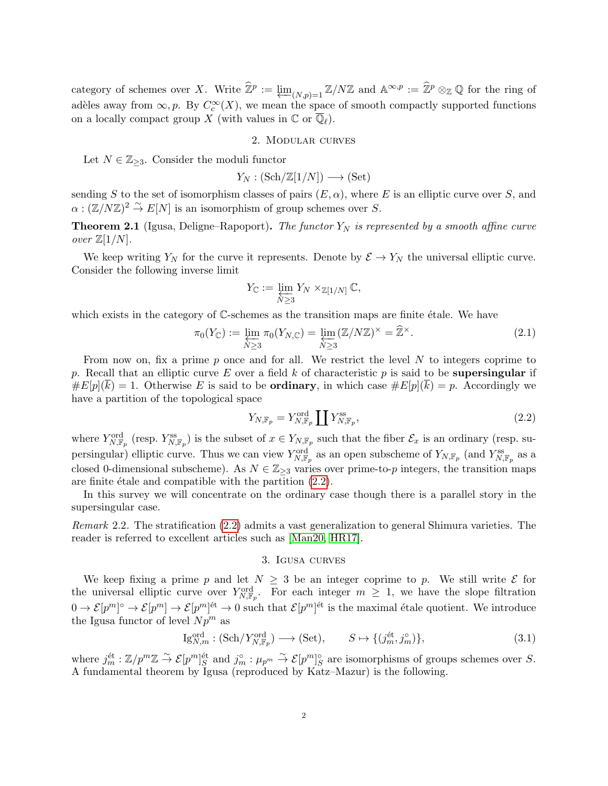category of schemes over X. Write  $\hat{\mathbb{Z}}^p := \varprojlim_{(N,p)=1} \mathbb{Z}/N\mathbb{Z}$  and  $\mathbb{A}^{\infty,p} := \hat{\mathbb{Z}}^p \otimes_{\mathbb{Z}} \mathbb{Q}$  for the ring of adèles away from  $\infty, p$ . By  $C_c^{\infty}(X)$ , we mean the space of smooth compactly supported functions on a locally compact group X (with values in  $\mathbb C$  or  $\overline{\mathbb Q}_\ell$ ).

#### 2. Modular curves

Let  $N \in \mathbb{Z}_{\geq 3}$ . Consider the moduli functor

$$
Y_N : (\text{Sch}/\mathbb{Z}[1/N]) \longrightarrow (\text{Set})
$$

sending S to the set of isomorphism classes of pairs  $(E, \alpha)$ , where E is an elliptic curve over S, and  $\alpha : (\mathbb{Z}/N\mathbb{Z})^2 \overset{\sim}{\to} E[N]$  is an isomorphism of group schemes over S.

**Theorem 2.1** (Igusa, Deligne–Rapoport). The functor  $Y_N$  is represented by a smooth affine curve over  $\mathbb{Z}[1/N]$ .

We keep writing  $Y_N$  for the curve it represents. Denote by  $\mathcal{E} \to Y_N$  the universal elliptic curve. Consider the following inverse limit

$$
Y_{\mathbb C}:=\varprojlim_{N\geq 3}Y_N\times_{\mathbb Z[1/N]}\mathbb C,
$$

which exists in the category of  $\mathbb C$ -schemes as the transition maps are finite étale. We have

<span id="page-1-3"></span>
$$
\pi_0(Y_{\mathbb{C}}) := \varprojlim_{N \ge 3} \pi_0(Y_{N,\mathbb{C}}) = \varprojlim_{N \ge 3} (\mathbb{Z}/N\mathbb{Z})^{\times} = \widehat{\mathbb{Z}}^{\times}.
$$
\n(2.1)

From now on, fix a prime  $p$  once and for all. We restrict the level  $N$  to integers coprime to p. Recall that an elliptic curve E over a field k of characteristic p is said to be **supersingular** if  $\#E[p](k) = 1$ . Otherwise E is said to be **ordinary**, in which case  $\#E[p](k) = p$ . Accordingly we have a partition of the topological space

<span id="page-1-0"></span>
$$
Y_{N, \mathbb{F}_p} = Y_{N, \mathbb{F}_p}^{\text{ord}} \coprod Y_{N, \mathbb{F}_p}^{\text{ss}},\tag{2.2}
$$

where  $Y_{N,\mathbb{F}_p}^{\text{ord}}$  (resp.  $Y_{N,\mathbb{F}_p}^{\text{ss}}$ ) is the subset of  $x \in Y_{N,\mathbb{F}_p}$  such that the fiber  $\mathcal{E}_x$  is an ordinary (resp. supersingular) elliptic curve. Thus we can view  $Y_{N,\mathbb{F}_p}^{\text{ord}}$  as an open subscheme of  $Y_{N,\mathbb{F}_p}$  (and  $Y_{N,\mathbb{F}_p}^{\text{ss}}$  as a closed 0-dimensional subscheme). As  $N \in \mathbb{Z}_{\geq 3}$  varies over prime-to-p integers, the transition maps are finite étale and compatible with the partition  $(2.2)$ .

In this survey we will concentrate on the ordinary case though there is a parallel story in the supersingular case.

Remark 2.2. The stratification [\(2.2\)](#page-1-0) admits a vast generalization to general Shimura varieties. The reader is referred to excellent articles such as [\[Man20,](#page-9-15) [HR17\]](#page-9-16).

## 3. Igusa curves

<span id="page-1-2"></span>We keep fixing a prime p and let  $N \geq 3$  be an integer coprime to p. We still write  $\mathcal E$  for the universal elliptic curve over  $Y_{N,\mathbb{F}_p}^{\text{ord}}$ . For each integer  $m \geq 1$ , we have the slope filtration  $0 \to \mathcal{E}[p^m] \to \mathcal{E}[p^m]^{ \text{\'et}} \to 0$  such that  $\mathcal{E}[p^m]^{ \text{\'et}}$  is the maximal étale quotient. We introduce the Igusa functor of level  $Np^m$  as

<span id="page-1-1"></span>
$$
\mathrm{Ig}_{N,m}^{\mathrm{ord}} : (\mathrm{Sch}/Y_{N,\mathbb{F}_p}^{\mathrm{ord}}) \longrightarrow (\mathrm{Set}), \qquad S \mapsto \{ (j_m^{\mathrm{\acute{e}t}}, j_m^{\circ}) \}, \tag{3.1}
$$

where  $j_m^{\text{\'et}}: \mathbb{Z}/p^m \mathbb{Z} \stackrel{\sim}{\to} \mathcal{E}[p^m]_S^{\text{\'et}}$  and  $j_m^{\circ}: \mu_{p^m} \stackrel{\sim}{\to} \mathcal{E}[p^m]_S^{\circ}$  are isomorphisms of groups schemes over S. A fundamental theorem by Igusa (reproduced by Katz–Mazur) is the following.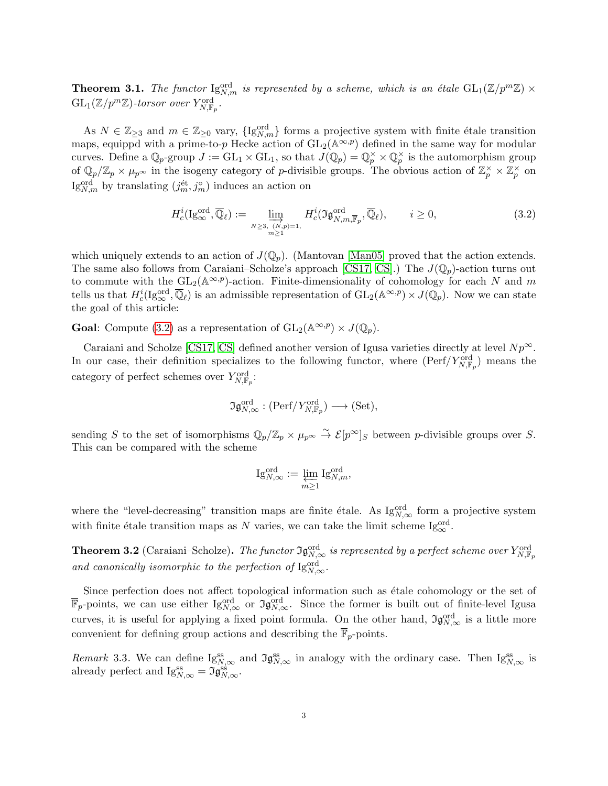**Theorem 3.1.** The functor  $\operatorname{Ig}_{N,m}^{\text{ord}}$  is represented by a scheme, which is an étale  $\operatorname{GL}_1(\mathbb{Z}/p^m\mathbb{Z}) \times$  $\mathrm{GL}_1(\mathbb{Z}/p^m\mathbb{Z})$ -torsor over  $Y_{N,\mathbb{F}_p}^{\mathrm{ord}}$ .

As  $N \in \mathbb{Z}_{\geq 3}$  and  $m \in \mathbb{Z}_{\geq 0}$  vary,  $\{I g_{N,m}^{\text{ord}}\}$  forms a projective system with finite étale transition maps, equippd with a prime-to-p Hecke action of  $GL_2(\mathbb{A}^{\infty,p})$  defined in the same way for modular curves. Define a  $\mathbb{Q}_p$ -group  $J := GL_1 \times GL_1$ , so that  $J(\mathbb{Q}_p) = \mathbb{Q}_p^{\times} \times \mathbb{Q}_p^{\times}$  is the automorphism group of  $\mathbb{Q}_p/\mathbb{Z}_p\times\mu_{p^\infty}$  in the isogeny category of p-divisible groups. The obvious action of  $\mathbb{Z}_p^\times\times\mathbb{Z}_p^\times$  on Ig<sub>N,m</sub> by translating  $(j_m^{\text{\'et}}, j_m^{\circ})$  induces an action on

<span id="page-2-0"></span>
$$
H_c^i(\mathrm{Ig}_{\infty}^{\mathrm{ord}}, \overline{\mathbb{Q}}_{\ell}) := \varinjlim_{\substack{N \geq 3, \ (\overrightarrow{N}, p) = 1, \\ m \geq 1}} H_c^i(\mathfrak{Ig}_{N,m, \overline{\mathbb{F}}_p}^{\mathrm{ord}}, \overline{\mathbb{Q}}_{\ell}), \qquad i \geq 0,
$$
\n(3.2)

which uniquely extends to an action of  $J(\mathbb{Q}_p)$ . (Mantovan [\[Man05\]](#page-9-2) proved that the action extends. The same also follows from Caraiani–Scholze's approach [\[CS17,](#page-9-17) [CS\]](#page-9-18).) The  $J(\mathbb{Q}_p)$ -action turns out to commute with the  $GL_2(\mathbb{A}^{\infty,p})$ -action. Finite-dimensionality of cohomology for each N and m tells us that  $H_c^i(\mathrm{Ig}_{\infty}^{\mathrm{ord}}, \overline{\mathbb{Q}}_{\ell})$  is an admissible representation of  $\mathrm{GL}_2(\mathbb{A}^{\infty, p}) \times J(\mathbb{Q}_p)$ . Now we can state the goal of this article:

**Goal:** Compute [\(3.2\)](#page-2-0) as a representation of  $GL_2(\mathbb{A}^{\infty,p}) \times J(\mathbb{Q}_n)$ .

Caraiani and Scholze [\[CS17,](#page-9-17) [CS\]](#page-9-18) defined another version of Igusa varieties directly at level  $Np^{\infty}$ . In our case, their definition specializes to the following functor, where  $(\text{Perf}/Y_{N,\mathbb{F}_p}^{\text{ord}})$  means the category of perfect schemes over  $Y_{N,\mathbb{F}_p}^{\text{ord}}$ :

$$
\mathfrak{Ig}_{N,\infty}^{\mathrm{ord}} : (\mathrm{Perf}/Y_{N,\mathbb{F}_p}^{\mathrm{ord}}) \longrightarrow (\mathrm{Set}),
$$

sending S to the set of isomorphisms  $\mathbb{Q}_p/\mathbb{Z}_p \times \mu_{p^{\infty}} \stackrel{\sim}{\to} \mathcal{E}[p^{\infty}]_S$  between p-divisible groups over S. This can be compared with the scheme

$$
\operatorname{Ig}_{N,\infty}^{\operatorname{ord}}:=\varprojlim_{m\geq 1}\operatorname{Ig}_{N,m}^{\operatorname{ord}},
$$

where the "level-decreasing" transition maps are finite étale. As  $Ig_{N,\infty}^{\text{ord}}$  form a projective system with finite étale transition maps as N varies, we can take the limit scheme  $\text{Ig}_{\infty}^{\text{ord}}$ .

**Theorem 3.2** (Caraiani–Scholze). The functor  $\Im \mathfrak{g}_{N,\infty}^{\text{ord}}$  is represented by a perfect scheme over  $Y_{N,\mathbb{F}_p}^{\text{ord}}$ and canonically isomorphic to the perfection of  $\text{Ig}_{N,\infty}^{\text{ord}}$ .

Since perfection does not affect topological information such as  $\acute{e}$  etale cohomology or the set of  $\overline{\mathbb{F}}_p$ -points, we can use either  $\text{Ig}_{N,\infty}^{\text{ord}}$  or  $\mathfrak{Ig}_{N,\infty}^{\text{ord}}$ . Since the former is built out of finite-level Igusa curves, it is useful for applying a fixed point formula. On the other hand,  $\mathfrak{I} \mathfrak{g}_{N,\infty}^{\text{ord}}$  is a little more convenient for defining group actions and describing the  $\overline{\mathbb{F}}_p$ -points.

Remark 3.3. We can define  $Ig_{N,\infty}^{ss}$  and  $\mathfrak{I}g_{N,\infty}^{ss}$  in analogy with the ordinary case. Then  $Ig_{N,\infty}^{ss}$  is already perfect and  $Ig_{N,\infty}^{ss} = \mathfrak{I} \tilde{g}_{N,\infty}^{ss}$ .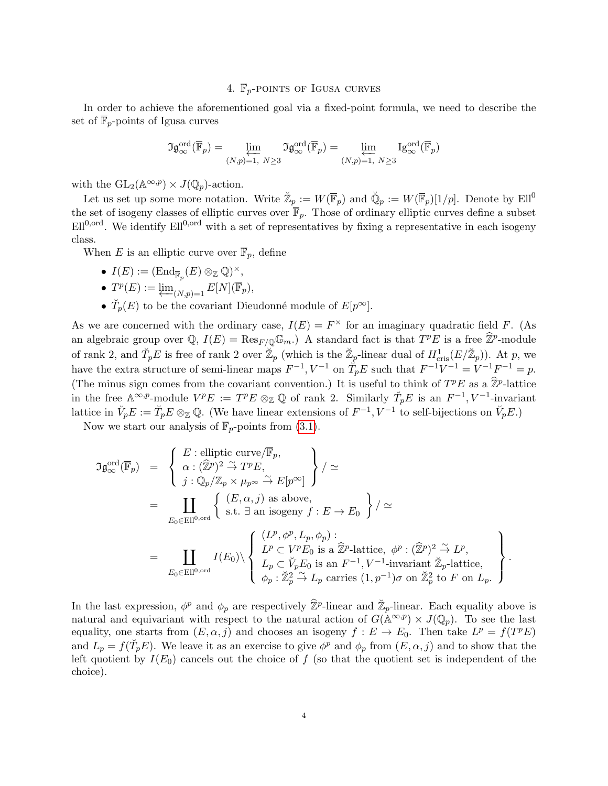## 4.  $\overline{\mathbb{F}}_n$ -POINTS OF IGUSA CURVES

In order to achieve the aforementioned goal via a fixed-point formula, we need to describe the set of  $\overline{\mathbb{F}}_p$ -points of Igusa curves

$$
\mathfrak{Ig}^{\operatorname{ord}}_{\infty}(\overline{\mathbb{F}}_p)=\varprojlim_{(N,p)=1,\ N\geq 3}\mathfrak{Ig}^{\operatorname{ord}}_{\infty}(\overline{\mathbb{F}}_p)=\varprojlim_{(N,p)=1,\ N\geq 3}\operatorname{Ig}^{\operatorname{ord}}_{\infty}(\overline{\mathbb{F}}_p)
$$

with the  $GL_2(\mathbb{A}^{\infty,p}) \times J(\mathbb{Q}_p)$ -action.

Let us set up some more notation. Write  $\mathbb{Z}_p := W(\overline{\mathbb{F}}_p)$  and  $\mathbb{Q}_p := W(\overline{\mathbb{F}}_p)[1/p]$ . Denote by  $Ell^0$ the set of isogeny classes of elliptic curves over  $\overline{\mathbb{F}}_p$ . Those of ordinary elliptic curves define a subset  $Ell<sup>0,ord</sup>$ . We identify  $Ell<sup>0,ord</sup>$  with a set of representatives by fixing a representative in each isogeny class.

When E is an elliptic curve over  $\overline{\mathbb{F}}_p$ , define

- $I(E) := (\text{End}_{\overline{\mathbb{F}}_p}(E) \otimes_{\mathbb{Z}} \mathbb{Q})^{\times},$
- $T^p(E) := \varprojlim_{(N,p)=1} E[N](\overline{\mathbb{F}}_p),$
- $\check{T}_p(E)$  to be the covariant Dieudonné module of  $E[p^{\infty}]$ .

As we are concerned with the ordinary case,  $I(E) = F^{\times}$  for an imaginary quadratic field F. (As an algebraic group over  $\mathbb{Q}$ ,  $I(E) = \text{Res}_{F/\mathbb{Q}} \mathbb{G}_m$ .) A standard fact is that  $T^pE$  is a free  $\widehat{\mathbb{Z}}^p$ -module of rank 2, and  $\check{T}_p E$  is free of rank 2 over  $\check{\mathbb{Z}}_p$  (which is the  $\check{\mathbb{Z}}_p$ -linear dual of  $H^1_{\text{cris}}(E/\check{\mathbb{Z}}_p)$ ). At p, we have the extra structure of semi-linear maps  $F^{-1}$ ,  $V^{-1}$  on  $\tilde{T}_p E$  such that  $F^{-1}V^{-1} = V^{-1}F^{-1} = p$ . (The minus sign comes from the covariant convention.) It is useful to think of  $T^pE$  as a  $\hat{\mathbb{Z}}^p$ -lattice in the free  $\mathbb{A}^{\infty,p}$ -module  $V^pE := T^pE \otimes_{\mathbb{Z}} \mathbb{Q}$  of rank 2. Similarly  $\check{T}_pE$  is an  $F^{-1}, V^{-1}$ -invariant lattice in  $\check{V}_p E := \check{T}_p E \otimes_{\mathbb{Z}} \mathbb{Q}$ . (We have linear extensions of  $F^{-1}$ ,  $V^{-1}$  to self-bijections on  $\check{V}_p E$ .)

Now we start our analysis of  $\overline{\mathbb{F}}_p$ -points from [\(3.1\)](#page-1-1).

$$
\mathfrak{IG}_{\infty}^{\text{ord}}(\overline{\mathbb{F}}_p) = \begin{cases} E : \text{elliptic curve}(\overline{\mathbb{F}}_p, \\ \alpha : (\widehat{\mathbb{Z}}^p)^2 \overset{\sim}{\to} T^p E, \\ j : \mathbb{Q}_p/\mathbb{Z}_p \times \mu_{p^{\infty}} \overset{\sim}{\to} E[p^{\infty}] \end{cases} / \simeq
$$
\n
$$
= \coprod_{E_0 \in \text{Ell}^{0, \text{ord}}} \begin{cases} (E, \alpha, j) \text{ as above,} \\ \text{s.t. } \exists \text{ an isogeny } f : E \to E_0 \end{cases} / \simeq
$$
\n
$$
= \coprod_{E_0 \in \text{Ell}^{0, \text{ord}}} I(E_0) \setminus \begin{cases} (L^p, \phi^p, L_p, \phi_p) : \\ L^p \subset V^p E_0 \text{ is a } \widehat{\mathbb{Z}}^p \text{-lattice, } \phi^p : (\widehat{\mathbb{Z}}^p)^2 \overset{\sim}{\to} L^p, \\ L_p \subset V_p E_0 \text{ is an } F^{-1}, V^{-1} \text{-invariant } \mathbb{Z}_p \text{-lattice, } \\ \phi_p : \mathbb{Z}_p^2 \overset{\sim}{\to} L_p \text{ carries } (1, p^{-1}) \sigma \text{ on } \mathbb{Z}_p^2 \text{ to } F \text{ on } L_p. \end{cases}.
$$

In the last expression,  $\phi^p$  and  $\phi_p$  are respectively  $\hat{\mathbb{Z}}^p$ -linear and  $\check{\mathbb{Z}}_p$ -linear. Each equality above is natural and equivariant with respect to the natural action of  $G(\mathbb{A}^{\infty,p}) \times J(\mathbb{Q}_p)$ . To see the last equality, one starts from  $(E, \alpha, j)$  and chooses an isogeny  $f : E \to E_0$ . Then take  $L^p = f(T^p E)$ and  $L_p = f(\check{T}_p E)$ . We leave it as an exercise to give  $\phi^p$  and  $\phi_p$  from  $(E, \alpha, j)$  and to show that the left quotient by  $I(E_0)$  cancels out the choice of f (so that the quotient set is independent of the choice).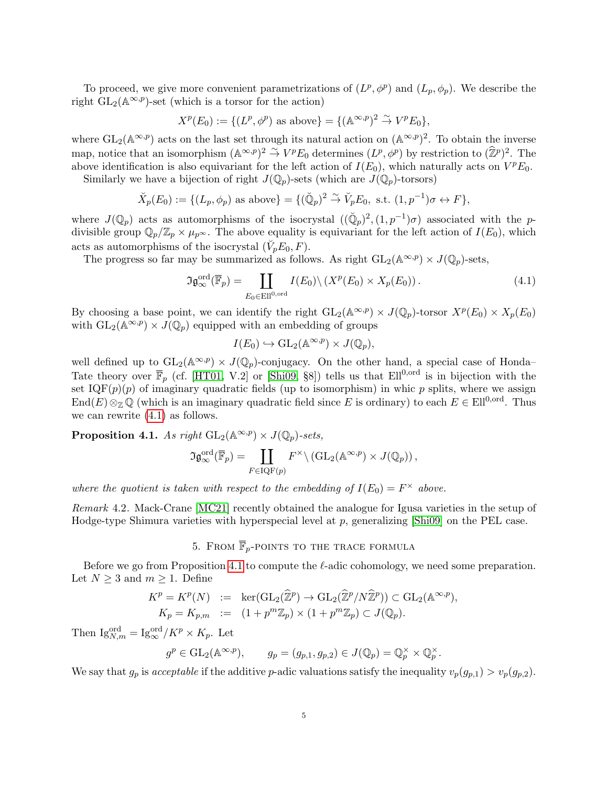To proceed, we give more convenient parametrizations of  $(L^p, \phi^p)$  and  $(L_p, \phi_p)$ . We describe the right  $GL_2(\mathbb{A}^{\infty,p})$ -set (which is a torsor for the action)

$$
X^p(E_0) := \{ (L^p, \phi^p) \text{ as above} \} = \{ (\mathbb{A}^{\infty, p})^2 \stackrel{\sim}{\rightarrow} V^p E_0 \},
$$

where  $GL_2(\mathbb{A}^{\infty,p})$  acts on the last set through its natural action on  $(\mathbb{A}^{\infty,p})^2$ . To obtain the inverse map, notice that an isomorphism  $(\mathbb{A}^{\infty,p})^2 \stackrel{\sim}{\to} V^p E_0$  determines  $(L^p, \phi^p)$  by restriction to  $(\widehat{\mathbb{Z}}^p)^2$ . The above identification is also equivariant for the left action of  $I(E_0)$ , which naturally acts on  $V^pE_0$ .

Similarly we have a bijection of right  $J(\mathbb{Q}_p)$ -sets (which are  $J(\mathbb{Q}_p)$ -torsors)

$$
\breve{X}_p(E_0) := \{ (L_p, \phi_p) \text{ as above} \} = \{ (\breve{\mathbb{Q}}_p)^2 \stackrel{\sim}{\to} \breve{V}_p E_0, \text{ s.t. } (1, p^{-1})\sigma \leftrightarrow F \},
$$

where  $J(\mathbb{Q}_p)$  acts as automorphisms of the isocrystal  $((\mathbb{Q}_p)^2, (1,p^{-1})\sigma)$  associated with the pdivisible group  $\mathbb{Q}_p/\mathbb{Z}_p \times \mu_{p^\infty}$ . The above equality is equivariant for the left action of  $I(E_0)$ , which acts as automorphisms of the isocrystal  $(\breve{V}_p E_0, F)$ .

The progress so far may be summarized as follows. As right  $GL_2(\mathbb{A}^{\infty,p}) \times J(\mathbb{Q}_p)$ -sets,

<span id="page-4-0"></span>
$$
\Im \mathfrak{g}_{\infty}^{\text{ord}}(\overline{\mathbb{F}}_p) = \coprod_{E_0 \in \text{Ell}^{0,\text{ord}}} I(E_0) \backslash \left( X^p(E_0) \times X_p(E_0) \right). \tag{4.1}
$$

By choosing a base point, we can identify the right  $GL_2(\mathbb{A}^{\infty,p}) \times J(\mathbb{Q}_p)$ -torsor  $X^p(E_0) \times X_p(E_0)$ with  $GL_2(\mathbb{A}^{\infty,p}) \times J(\mathbb{Q}_p)$  equipped with an embedding of groups

$$
I(E_0) \hookrightarrow \mathrm{GL}_2(\mathbb{A}^{\infty,p}) \times J(\mathbb{Q}_p),
$$

well defined up to  $GL_2(\mathbb{A}^{\infty,p}) \times J(\mathbb{Q}_p)$ -conjugacy. On the other hand, a special case of Honda– Tate theory over  $\overline{\mathbb{F}}_p$  (cf. [\[HT01,](#page-9-1) V.2] or [\[Shi09,](#page-9-7) §8]) tells us that Ell<sup>0,ord</sup> is in bijection with the set  $IQF(p)(p)$  of imaginary quadratic fields (up to isomorphism) in whic p splits, where we assign End(E)⊗<sub>Z</sub> Q (which is an imaginary quadratic field since E is ordinary) to each  $E \in Ell^{0,ord}$ . Thus we can rewrite [\(4.1\)](#page-4-0) as follows.

<span id="page-4-1"></span>**Proposition 4.1.** As right  $GL_2(\mathbb{A}^{\infty,p}) \times J(\mathbb{Q}_p)$ -sets,

$$
\mathfrak{IG}^{\text{ord}}_{\infty}(\overline{\mathbb{F}}_p) = \coprod_{F \in \text{IQF}(p)} F^{\times} \setminus (\text{GL}_2(\mathbb{A}^{\infty,p}) \times J(\mathbb{Q}_p)),
$$

where the quotient is taken with respect to the embedding of  $I(E_0) = F^{\times}$  above.

Remark 4.2. Mack-Crane [\[MC21\]](#page-9-8) recently obtained the analogue for Igusa varieties in the setup of Hodge-type Shimura varieties with hyperspecial level at  $p$ , generalizing [\[Shi09\]](#page-9-7) on the PEL case.

# 5. FROM  $\overline{\mathbb{F}}_p$ -POINTS TO THE TRACE FORMULA

Before we go from Proposition [4.1](#page-4-1) to compute the  $\ell$ -adic cohomology, we need some preparation. Let  $N \geq 3$  and  $m \geq 1$ . Define

$$
K^p = K^p(N) := \ker(\text{GL}_2(\widehat{\mathbb{Z}}^p) \to \text{GL}_2(\widehat{\mathbb{Z}}^p/N\widehat{\mathbb{Z}}^p)) \subset \text{GL}_2(\mathbb{A}^{\infty,p}),
$$
  

$$
K_p = K_{p,m} := (1 + p^m \mathbb{Z}_p) \times (1 + p^m \mathbb{Z}_p) \subset J(\mathbb{Q}_p).
$$

Then  $\mathrm{Ig}_{N,m}^{\mathrm{ord}} = \mathrm{Ig}_{\infty}^{\mathrm{ord}} / K^p \times K_p$ . Let

$$
g^p \in GL_2(\mathbb{A}^{\infty,p}),
$$
  $g_p = (g_{p,1}, g_{p,2}) \in J(\mathbb{Q}_p) = \mathbb{Q}_p^{\times} \times \mathbb{Q}_p^{\times}.$ 

We say that  $g_p$  is acceptable if the additive p-adic valuations satisfy the inequality  $v_p(g_{p,1}) > v_p(g_{p,2})$ .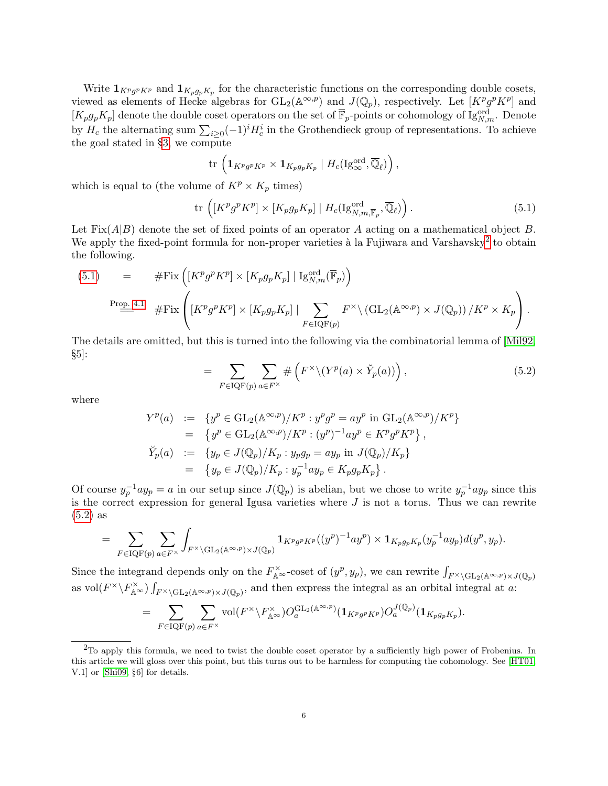Write  $1_{K^p g^p K^p}$  and  $1_{K_p g_p K_p}$  for the characteristic functions on the corresponding double cosets, viewed as elements of Hecke algebras for  $GL_2(\mathbb{A}^{\infty,p})$  and  $J(\mathbb{Q}_p)$ , respectively. Let  $[K^p g^p K^p]$  and  $[K_p g_p K_p]$  denote the double coset operators on the set of  $\overline{\mathbb{F}}_p$ -points or cohomology of Ig<sub>N,m</sub>. Denote by  $H_c$  the alternating sum  $\sum_{i\geq 0}(-1)^iH_c^i$  in the Grothendieck group of representations. To achieve the goal stated in §[3,](#page-1-2) we compute

$$
\mathrm{tr}\,\left(\mathbf{1}_{K^p g^p K^p}\times \mathbf{1}_{K_p g_p K_p}\mid H_c(\mathrm{Ig}_{\infty}^{\mathrm{ord}},\overline{\mathbb{Q}}_{\ell})\right),
$$

which is equal to (the volume of  $K^p \times K_p$  times)

<span id="page-5-1"></span>
$$
\text{tr}\,\left( [K^p g^p K^p] \times [K_p g_p K_p] \mid H_c(\text{Ig}_{N,m,\overline{\mathbb{F}}_p}^{\text{ord}}, \overline{\mathbb{Q}}_\ell) \right). \tag{5.1}
$$

Let  $Fix(A|B)$  denote the set of fixed points of an operator A acting on a mathematical object B. We apply the fixed-point formula for non-proper varieties à la Fujiwara and Varshavsky<sup>[2](#page-5-0)</sup> to obtain the following.

(5.1) = 
$$
\# \text{Fix}\left(\left[K^p g^p K^p\right] \times \left[K_p g_p K_p\right] | \text{Ig}_{N,m}^{\text{ord}}(\overline{\mathbb{F}}_p)\right)
$$
  
\n $\xrightarrow{\text{Prop. 4.1}} \# \text{Fix}\left(\left[K^p g^p K^p\right] \times \left[K_p g_p K_p\right] | \sum_{F \in \text{IQF}(p)} F^{\times} \backslash \left(\text{GL}_2(\mathbb{A}^{\infty, p}) \times J(\mathbb{Q}_p)\right) / K^p \times K_p\right).$ 

The details are omitted, but this is turned into the following via the combinatorial lemma of [\[Mil92,](#page-9-19)  $\S5$ :

<span id="page-5-2"></span>
$$
= \sum_{F \in \text{IQF}(p)} \sum_{a \in F^{\times}} \# \left( F^{\times} \backslash (Y^{p}(a) \times \check{Y}_{p}(a)) \right), \tag{5.2}
$$

where

$$
Y^p(a) := \{ y^p \in \mathrm{GL}_2(\mathbb{A}^{\infty, p})/K^p : y^p g^p = a y^p \text{ in } \mathrm{GL}_2(\mathbb{A}^{\infty, p})/K^p \}
$$
  
\n
$$
= \{ y^p \in \mathrm{GL}_2(\mathbb{A}^{\infty, p})/K^p : (y^p)^{-1} a y^p \in K^p g^p K^p \},
$$
  
\n
$$
\tilde{Y}_p(a) := \{ y_p \in J(\mathbb{Q}_p)/K_p : y_p g_p = a y_p \text{ in } J(\mathbb{Q}_p)/K_p \}
$$
  
\n
$$
= \{ y_p \in J(\mathbb{Q}_p)/K_p : y_p^{-1} a y_p \in K_p g_p K_p \}.
$$

Of course  $y_p^{-1}ay_p = a$  in our setup since  $J(\mathbb{Q}_p)$  is abelian, but we chose to write  $y_p^{-1}ay_p$  since this is the correct expression for general Igusa varieties where  $J$  is not a torus. Thus we can rewrite [\(5.2\)](#page-5-2) as

$$
= \sum_{F \in \text{IQF}(p)} \sum_{a \in F^\times} \int_{F^\times \backslash \text{GL}_2(\mathbb{A}^{\infty, p}) \times J(\mathbb{Q}_p)} \mathbf{1}_{K^p g^p K^p}((y^p)^{-1} a y^p) \times \mathbf{1}_{K_p g_p K_p} (y_p^{-1} a y_p) d(y^p, y_p).
$$

Since the integrand depends only on the  $F_{\mathbb{A}^{\infty}}^{\times}$ -coset of  $(y^p, y_p)$ , we can rewrite  $\int_{F^{\times}\backslash GL_2(\mathbb{A}^{\infty},p)\times J(\mathbb{Q}_p)}$ as vol $(F^{\times}\backslash F_{\mathbb{A}^{\infty}}^{\times})\int_{F^{\times}\backslash GL_2(\mathbb{A}^{\infty},p)\times J(\mathbb{Q}_p)}$ , and then express the integral as an orbital integral at a:

$$
= \sum_{F \in \text{IQF}(p)} \sum_{a \in F^\times} \text{vol}(F^\times \backslash F_{\mathbb{A}^\infty}^\times) O_a^{\text{GL}_2(\mathbb{A}^\infty, p)}(\mathbf{1}_{K^p g^p K^p}) O_a^{J(\mathbb{Q}_p)}(\mathbf{1}_{K_p g_p K_p}).
$$

<span id="page-5-0"></span> $2$ To apply this formula, we need to twist the double coset operator by a sufficiently high power of Frobenius. In this article we will gloss over this point, but this turns out to be harmless for computing the cohomology. See [\[HT01,](#page-9-1) V.1] or [\[Shi09,](#page-9-7) §6] for details.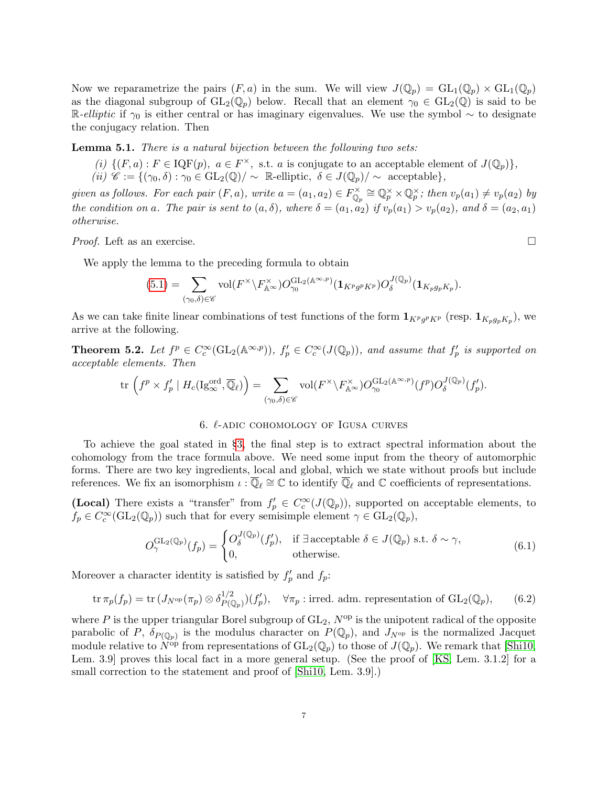Now we reparametrize the pairs  $(F, a)$  in the sum. We will view  $J(\mathbb{Q}_p) = GL_1(\mathbb{Q}_p) \times GL_1(\mathbb{Q}_p)$ as the diagonal subgroup of  $GL_2(\mathbb{Q}_p)$  below. Recall that an element  $\gamma_0 \in GL_2(\mathbb{Q})$  is said to be R-elliptic if  $\gamma_0$  is either central or has imaginary eigenvalues. We use the symbol ~ to designate the conjugacy relation. Then

Lemma 5.1. There is a natural bijection between the following two sets:

- (i)  $\{(F, a) : F \in \text{IQF}(p), a \in F^{\times}, \text{ s.t. } a \text{ is conjugate to an acceptable element of } J(\mathbb{Q}_p)\}\,$
- (ii)  $\mathscr{C} := \{(\gamma_0, \delta) : \gamma_0 \in \text{GL}_2(\mathbb{Q})/\sim \mathbb{R} \text{-elliptic}, \delta \in J(\mathbb{Q}_p)/\sim \text{acceptable}\},\$

given as follows. For each pair  $(F, a)$ , write  $a = (a_1, a_2) \in F_{\mathbb{Q}_p}^{\times} \cong \mathbb{Q}_p^{\times} \times \mathbb{Q}_p^{\times}$ ; then  $v_p(a_1) \neq v_p(a_2)$  by the condition on a. The pair is sent to  $(a, \delta)$ , where  $\delta = (a_1, a_2)$  if  $v_p(a_1) > v_p(a_2)$ , and  $\delta = (a_2, a_1)$ otherwise.

*Proof.* Left as an exercise.  $\square$ 

We apply the lemma to the preceding formula to obtain

$$
(5.1) = \sum_{(\gamma_0,\delta) \in \mathscr{C}} \mathrm{vol}(F^\times \backslash F_{\mathbb{A}^\infty}^\times) O_{\gamma_0}^{\mathrm{GL}_2(\mathbb{A}^{\infty,p})}(\mathbf{1}_{K^p g^p K^p}) O_{\delta}^{J(\mathbb{Q}_p)}(\mathbf{1}_{K_p g_p K_p}).
$$

As we can take finite linear combinations of test functions of the form  $1_{K^p g^p K^p}$  (resp.  $1_{K_p g_p K_p}$ ), we arrive at the following.

<span id="page-6-0"></span>**Theorem 5.2.** Let  $f^p \in C_c^{\infty}(\mathrm{GL}_2(\mathbb{A}^{\infty,p}))$ ,  $f'_p \in C_c^{\infty}(J(\mathbb{Q}_p))$ , and assume that  $f'_p$  is supported on acceptable elements. Then

$$
\text{tr}\,\left(f^p\times f'_p\mid H_c(\mathrm{Ig}_{\infty}^{\mathrm{ord}},\overline{\mathbb{Q}}_{\ell})\right)=\sum_{(\gamma_0,\delta)\in\mathscr{C}}\text{vol}(F^{\times}\backslash F^{\times}_{\mathbb{A}^{\infty}})O_{\gamma_0}^{\mathrm{GL}_2(\mathbb{A}^{\infty,p})}(f^p)O_{\delta}^{J(\mathbb{Q}_p)}(f'_p).
$$

## 6.  $\ell$ -adic cohomology of Igusa curves

To achieve the goal stated in §[3,](#page-1-2) the final step is to extract spectral information about the cohomology from the trace formula above. We need some input from the theory of automorphic forms. There are two key ingredients, local and global, which we state without proofs but include references. We fix an isomorphism  $\iota : \overline{\mathbb{Q}}_{\ell} \cong \mathbb{C}$  to identify  $\overline{\mathbb{Q}}_{\ell}$  and  $\mathbb{C}$  coefficients of representations.

(Local) There exists a "transfer" from  $f'_p \in C_c^{\infty}(J(\mathbb{Q}_p))$ , supported on acceptable elements, to  $f_p \in C_c^{\infty}(\text{GL}_2(\mathbb{Q}_p))$  such that for every semisimple element  $\gamma \in \text{GL}_2(\mathbb{Q}_p)$ ,

<span id="page-6-1"></span>
$$
O_{\gamma}^{\mathrm{GL}_2(\mathbb{Q}_p)}(f_p) = \begin{cases} O_{\delta}^{J(\mathbb{Q}_p)}(f'_p), & \text{if } \exists \text{ acceptable } \delta \in J(\mathbb{Q}_p) \text{ s.t. } \delta \sim \gamma, \\ 0, & \text{otherwise.} \end{cases}
$$
(6.1)

Moreover a character identity is satisfied by  $f'_p$  and  $f_p$ :

<span id="page-6-2"></span>
$$
\operatorname{tr} \pi_p(f_p) = \operatorname{tr} (J_{N^{\rm op}}(\pi_p) \otimes \delta_P^{1/2}(\mathbb{Q}_p)) (f'_p), \quad \forall \pi_p \text{ : irred. adm. representation of } GL_2(\mathbb{Q}_p), \qquad (6.2)
$$

where P is the upper triangular Borel subgroup of  $GL_2$ ,  $N^{op}$  is the unipotent radical of the opposite parabolic of P,  $\delta_{P(\mathbb{Q}_p)}$  is the modulus character on  $P(\mathbb{Q}_p)$ , and  $J_{N^{\rm op}}$  is the normalized Jacquet module relative to  $\widetilde{N}^{\text{op}}$  from representations of  $\text{GL}_2(\mathbb{Q}_p)$  to those of  $J(\mathbb{Q}_p)$ . We remark that [\[Shi10,](#page-10-3) Lem. 3.9 proves this local fact in a more general setup. (See the proof of [\[KS,](#page-9-5) Lem. 3.1.2] for a small correction to the statement and proof of  $[Shi10, Lem. 3.9].$  $[Shi10, Lem. 3.9].$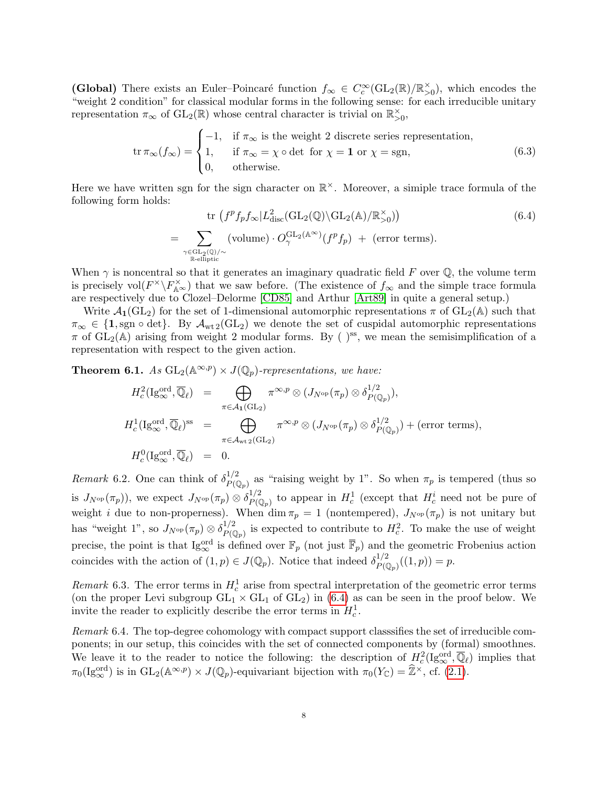(Global) There exists an Euler-Poincaré function  $f_{\infty} \in C_c^{\infty}(\text{GL}_2(\mathbb{R})/\mathbb{R}_{>0}^{\times})$ , which encodes the "weight 2 condition" for classical modular forms in the following sense: for each irreducible unitary representation  $\pi_{\infty}$  of  $GL_2(\mathbb{R})$  whose central character is trivial on  $\mathbb{R}_{>0}^{\times}$ ,

<span id="page-7-1"></span>
$$
\operatorname{tr}\pi_{\infty}(f_{\infty}) = \begin{cases}\n-1, & \text{if } \pi_{\infty} \text{ is the weight 2 discrete series representation,} \\
1, & \text{if } \pi_{\infty} = \chi \circ \det \text{ for } \chi = \mathbf{1} \text{ or } \chi = \operatorname{sgn}, \\
0, & \text{otherwise.} \n\end{cases}
$$
\n(6.3)

Here we have written sgn for the sign character on  $\mathbb{R}^{\times}$ . Moreover, a simiple trace formula of the following form holds:

<span id="page-7-0"></span>
$$
\text{tr}\left(f^p f_p f_\infty | L^2_{\text{disc}}(\text{GL}_2(\mathbb{Q}) \backslash \text{GL}_2(\mathbb{A})/\mathbb{R}_{>0}^\times)\right) \tag{6.4}
$$
\n
$$
= \sum_{\substack{\gamma \in \text{GL}_2(\mathbb{Q})/\sim \\ \mathbb{R}\text{-elliptic}}} (\text{volume}) \cdot O_\gamma^{\text{GL}_2(\mathbb{A}^\infty)}(f^p f_p) + (\text{error terms}).
$$

When  $\gamma$  is noncentral so that it generates an imaginary quadratic field F over Q, the volume term is precisely vol $(F^{\times} \backslash F^{\times}_{A^{\infty}})$  that we saw before. (The existence of  $f_{\infty}$  and the simple trace formula are respectively due to Clozel–Delorme [\[CD85\]](#page-9-20) and Arthur [\[Art89\]](#page-9-21) in quite a general setup.)

Write  $\mathcal{A}_1(\text{GL}_2)$  for the set of 1-dimensional automorphic representations  $\pi$  of  $\text{GL}_2(\mathbb{A})$  such that  $\pi_{\infty} \in \{1, \text{sgn} \circ \det\}.$  By  $\mathcal{A}_{\text{wt2}}(\text{GL}_2)$  we denote the set of cuspidal automorphic representations  $\pi$  of  $GL_2(\mathbb{A})$  arising from weight 2 modular forms. By ()<sup>ss</sup>, we mean the semisimplification of a representation with respect to the given action.

**Theorem 6.1.** As  $GL_2(\mathbb{A}^{\infty,p}) \times J(\mathbb{Q}_p)$ -representations, we have:

$$
H_c^2(\mathrm{Ig}_{\infty}^{\mathrm{ord}}, \overline{\mathbb{Q}}_{\ell}) = \bigoplus_{\pi \in \mathcal{A}_1(\mathrm{GL}_2)} \pi^{\infty, p} \otimes (J_{N^{\mathrm{op}}}(\pi_p) \otimes \delta_{P(\mathbb{Q}_p)}^{1/2}),
$$
  
\n
$$
H_c^1(\mathrm{Ig}_{\infty}^{\mathrm{ord}}, \overline{\mathbb{Q}}_{\ell})^{\mathrm{ss}} = \bigoplus_{\pi \in \mathcal{A}_{\mathrm{wt}2}(\mathrm{GL}_2)} \pi^{\infty, p} \otimes (J_{N^{\mathrm{op}}}(\pi_p) \otimes \delta_{P(\mathbb{Q}_p)}^{1/2}) + (\text{error terms}),
$$
  
\n
$$
H_c^0(\mathrm{Ig}_{\infty}^{\mathrm{ord}}, \overline{\mathbb{Q}}_{\ell}) = 0.
$$

<span id="page-7-2"></span>Remark 6.2. One can think of  $\delta_{P(\mathbb{Q}_p)}^{1/2}$  as "raising weight by 1". So when  $\pi_p$  is tempered (thus so is  $J_{N^{op}}(\pi_p)$ , we expect  $J_{N^{op}}(\pi_p) \otimes \delta_{P(\mathbb{Q}_p)}^{1/2}$  to appear in  $H_c^1$  (except that  $H_c^i$  need not be pure of weight i due to non-properness). When dim  $\pi_p = 1$  (nontempered),  $J_{N^{op}}(\pi_p)$  is not unitary but has "weight 1", so  $J_{N^{op}}(\pi_p) \otimes \delta_{P(\mathbb{Q}_p)}^{1/2}$  is expected to contribute to  $H_c^2$ . To make the use of weight precise, the point is that  $\text{Ig}_{\infty}^{\text{ord}}$  is defined over  $\mathbb{F}_p$  (not just  $\overline{\mathbb{F}}_p$ ) and the geometric Frobenius action coincides with the action of  $(1, p) \in J(\mathbb{Q}_p)$ . Notice that indeed  $\delta_{P(\mathbb{Q}_p)}^{1/2}((1, p)) = p$ .

Remark 6.3. The error terms in  $H_c^1$  arise from spectral interpretation of the geometric error terms (on the proper Levi subgroup  $GL_1 \times GL_1$  of  $GL_2$ ) in [\(6.4\)](#page-7-0) as can be seen in the proof below. We invite the reader to explicitly describe the error terms in  $H_c^1$ .

Remark 6.4. The top-degree cohomology with compact support classsifies the set of irreducible components; in our setup, this coincides with the set of connected components by (formal) smoothnes. We leave it to the reader to notice the following: the description of  $H_c^2(\mathrm{Ig}_{\infty}^{\mathrm{ord}},\overline{\mathbb{Q}}_{\ell})$  implies that  $\pi_0(\mathrm{Ig}_{\infty}^{\mathrm{ord}})$  is in  $\mathrm{GL}_2(\mathbb{A}^{\infty,p}) \times J(\mathbb{Q}_p)$ -equivariant bijection with  $\pi_0(Y_{\mathbb{C}}) = \widehat{\mathbb{Z}}^{\times}$ , cf. [\(2.1\)](#page-1-3).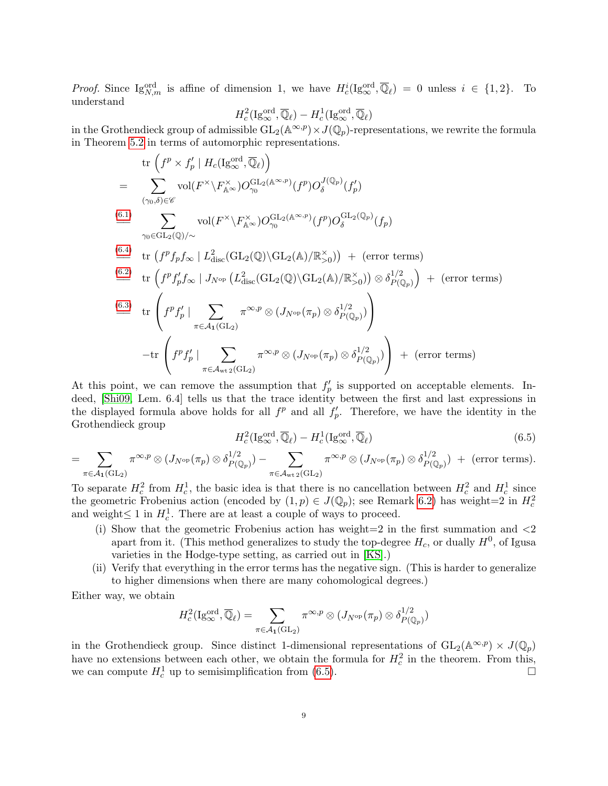*Proof.* Since  $\text{Ig}_{N,m}^{\text{ord}}$  is affine of dimension 1, we have  $H_c^i(\text{Ig}_{\infty}^{\text{ord}}, \overline{\mathbb{Q}}_{\ell}) = 0$  unless  $i \in \{1,2\}$ . To understand

$$
H_c^2(\mathrm{Ig}^{\mathrm{ord}}_\infty,\overline{\mathbb{Q}}_\ell)-H_c^1(\mathrm{Ig}^{\mathrm{ord}}_\infty,\overline{\mathbb{Q}}_\ell)
$$

in the Grothendieck group of admissible  $GL_2(\mathbb{A}^{\infty,p}) \times J(\mathbb{Q}_p)$ -representations, we rewrite the formula in Theorem [5.2](#page-6-0) in terms of automorphic representations.

tr 
$$
(f^p \times f'_p | H_c(\text{Ig}_{\infty}^{\text{ord}}, \overline{\mathbb{Q}}_{\ell}))
$$
  
\n
$$
= \sum_{(\gamma_0, \delta) \in \mathscr{C}} \text{vol}(F^{\times} \backslash F_{\mathbb{A}^{\infty}}^{\times}) O_{\gamma_0}^{\text{GL}_2(\mathbb{A}^{\infty}, p)}(f^p) O_{\delta}^{J(\mathbb{Q}_p)}(f'_p)
$$
\n
$$
\stackrel{\text{(6.1)}}{\longrightarrow} \sum_{\gamma_0 \in \text{GL}_2(\mathbb{Q})/\sim} \text{vol}(F^{\times} \backslash F_{\mathbb{A}^{\infty}}^{\times}) O_{\gamma_0}^{\text{GL}_2(\mathbb{A}^{\infty}, p)}(f^p) O_{\delta}^{\text{GL}_2(\mathbb{Q}_p)}(f_p)
$$
\n
$$
\stackrel{\text{(6.4)}}{\equiv}
$$
tr  $(f^p f_p f_{\infty} | L_{\text{disc}}^2(\text{GL}_2(\mathbb{Q}) \backslash \text{GL}_2(\mathbb{A})/\mathbb{R}_{>0}^{\times})) + (\text{error terms})$ \n
$$
\stackrel{\text{(6.2)}}{\equiv}
$$
tr  $(f^p f'_p f_{\infty} | J_{N^{op}}(L_{\text{disc}}^2(\text{GL}_2(\mathbb{Q}) \backslash \text{GL}_2(\mathbb{A})/\mathbb{R}_{>0}^{\times})) \otimes \delta_{P(\mathbb{Q}_p)}^{1/2}) + (\text{error terms})$ \n
$$
\stackrel{\text{(6.3)}}{\equiv}
$$
tr  $\begin{pmatrix} f^p f'_p | \sum_{\pi \in \mathcal{A}_1(\text{GL}_2)} \pi^{\infty, p} \otimes (J_{N^{op}}(\pi_p) \otimes \delta_{P(\mathbb{Q}_p)}^{1/2}) \end{pmatrix} - \text{tr} \begin{pmatrix} f^p f'_p | \sum_{\pi \in \mathcal{A}_{\text{wt}}_2(\text{GL}_2)} \pi^{\infty, p} \otimes (J_{N^{op}}(\pi_p) \otimes \delta_{P(\mathbb{Q}_p)}^{1/2}) \end{pmatrix} + (\text{error terms})$ 

At this point, we can remove the assumption that  $f'_p$  is supported on acceptable elements. Indeed, [\[Shi09,](#page-9-7) Lem. 6.4] tells us that the trace identity between the first and last expressions in the displayed formula above holds for all  $f_p^p$  and all  $f_p'$ . Therefore, we have the identity in the Grothendieck group

<span id="page-8-0"></span>
$$
H_c^2(\mathrm{Ig}_{\infty}^{\mathrm{ord}}, \overline{\mathbb{Q}}_{\ell}) - H_c^1(\mathrm{Ig}_{\infty}^{\mathrm{ord}}, \overline{\mathbb{Q}}_{\ell})
$$
\n(6.5)

$$
= \sum_{\pi \in \mathcal{A}_{\mathbf{1}}(\mathrm{GL}_2)} \pi^{\infty, p} \otimes (J_{N^{\mathrm{op}}}(\pi_p) \otimes \delta_P^{1/2}(\mathbb{Q}_p)) - \sum_{\pi \in \mathcal{A}_{\mathrm{wt}\mathbf{2}}(\mathrm{GL}_2)} \pi^{\infty, p} \otimes (J_{N^{\mathrm{op}}}(\pi_p) \otimes \delta_P^{1/2}(\mathbb{Q}_p)) + \text{ (error terms)}.
$$

To separate  $H_c^2$  from  $H_c^1$ , the basic idea is that there is no cancellation between  $H_c^2$  and  $H_c^1$  since the geometric Frobenius action (encoded by  $(1, p) \in J(\mathbb{Q}_p)$ ; see Remark [6.2\)](#page-7-2) has weight=2 in  $H_c^2$ and weight $\leq 1$  in  $H_c^1$ . There are at least a couple of ways to proceed.

- (i) Show that the geometric Frobenius action has weight=2 in the first summation and  $\langle 2 \rangle$ apart from it. (This method generalizes to study the top-degree  $H_c$ , or dually  $H<sup>0</sup>$ , of Igusa varieties in the Hodge-type setting, as carried out in [\[KS\]](#page-9-5).)
- (ii) Verify that everything in the error terms has the negative sign. (This is harder to generalize to higher dimensions when there are many cohomological degrees.)

Either way, we obtain

$$
H_c^2(\mathrm{Ig}_{\infty}^{\mathrm{ord}}, \overline{\mathbb{Q}}_{\ell}) = \sum_{\pi \in \mathcal{A}_1(\mathrm{GL}_2)} \pi^{\infty, p} \otimes (J_{N^{\mathrm{op}}}(\pi_p) \otimes \delta_{P(\mathbb{Q}_p)}^{1/2})
$$

in the Grothendieck group. Since distinct 1-dimensional representations of  $GL_2(\mathbb{A}^{\infty,p}) \times J(\mathbb{Q}_p)$ have no extensions between each other, we obtain the formula for  $H_c^2$  in the theorem. From this, we can compute  $H_c^1$  up to semisimplification from [\(6.5\)](#page-8-0).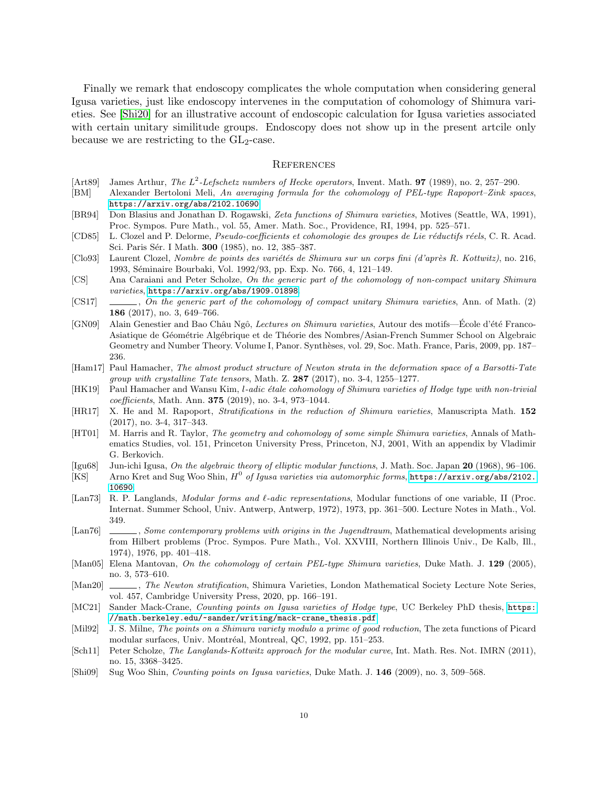Finally we remark that endoscopy complicates the whole computation when considering general Igusa varieties, just like endoscopy intervenes in the computation of cohomology of Shimura varieties. See [\[Shi20\]](#page-10-4) for an illustrative account of endoscopic calculation for Igusa varieties associated with certain unitary similitude groups. Endoscopy does not show up in the present artcile only because we are restricting to the  $GL_2$ -case.

#### **REFERENCES**

- <span id="page-9-21"></span>[Art89] James Arthur, The  $L^2$ -Lefschetz numbers of Hecke operators, Invent. Math. **97** (1989), no. 2, 257–290.
- <span id="page-9-6"></span>[BM] Alexander Bertoloni Meli, An averaging formula for the cohomology of PEL-type Rapoport–Zink spaces, <https://arxiv.org/abs/2102.10690>.
- <span id="page-9-13"></span>[BR94] Don Blasius and Jonathan D. Rogawski, Zeta functions of Shimura varieties, Motives (Seattle, WA, 1991), Proc. Sympos. Pure Math., vol. 55, Amer. Math. Soc., Providence, RI, 1994, pp. 525–571.
- <span id="page-9-20"></span>[CD85] L. Clozel and P. Delorme, Pseudo-coefficients et cohomologie des groupes de Lie réductifs réels, C. R. Acad. Sci. Paris Sér. I Math. **300** (1985), no. 12, 385–387.
- <span id="page-9-9"></span> $[Clog3]$  Laurent Clozel, Nombre de points des variétés de Shimura sur un corps fini (d'après R. Kottwitz), no. 216, 1993, Séminaire Bourbaki, Vol. 1992/93, pp. Exp. No. 766, 4, 121–149.
- <span id="page-9-18"></span>[CS] Ana Caraiani and Peter Scholze, On the generic part of the cohomology of non-compact unitary Shimura varieties, <https://arxiv.org/abs/1909.01898>.
- <span id="page-9-17"></span> $\left[\text{CS17}\right]$  , On the generic part of the cohomology of compact unitary Shimura varieties, Ann. of Math. (2) 186 (2017), no. 3, 649–766.
- <span id="page-9-14"></span>[GN09] Alain Genestier and Bao Châu Ngô, Lectures on Shimura varieties, Autour des motifs—Ecole d'été Franco-Asiatique de Géométrie Algébrique et de Théorie des Nombres/Asian-French Summer School on Algebraic Geometry and Number Theory. Volume I, Panor. Synthèses, vol. 29, Soc. Math. France, Paris, 2009, pp. 187– 236.
- <span id="page-9-3"></span>[Ham17] Paul Hamacher, The almost product structure of Newton strata in the deformation space of a Barsotti-Tate group with crystalline Tate tensors, Math. Z.  $287$  (2017), no. 3-4, 1255–1277.
- <span id="page-9-4"></span>[HK19] Paul Hamacher and Wansu Kim, l-adic étale cohomology of Shimura varieties of Hodge type with non-trivial coefficients, Math. Ann. 375 (2019), no. 3-4, 973–1044.
- <span id="page-9-16"></span>[HR17] X. He and M. Rapoport, Stratifications in the reduction of Shimura varieties, Manuscripta Math. 152 (2017), no. 3-4, 317–343.
- <span id="page-9-1"></span>[HT01] M. Harris and R. Taylor, The geometry and cohomology of some simple Shimura varieties, Annals of Mathematics Studies, vol. 151, Princeton University Press, Princeton, NJ, 2001, With an appendix by Vladimir G. Berkovich.
- <span id="page-9-5"></span><span id="page-9-0"></span>[Igu68] Jun-ichi Igusa, On the algebraic theory of elliptic modular functions, J. Math. Soc. Japan 20 (1968), 96–106. [KS] Arno Kret and Sug Woo Shin,  $H^0$  of Igusa varieties via automorphic forms, [https://arxiv.org/abs/2102.](https://arxiv.org/abs/2102.10690) [10690](https://arxiv.org/abs/2102.10690).
- <span id="page-9-11"></span>[Lan73] R. P. Langlands, *Modular forms and l-adic representations*, Modular functions of one variable, II (Proc. Internat. Summer School, Univ. Antwerp, Antwerp, 1972), 1973, pp. 361–500. Lecture Notes in Math., Vol. 349.
- <span id="page-9-12"></span>[Lan76] , Some contemporary problems with origins in the Jugendtraum, Mathematical developments arising from Hilbert problems (Proc. Sympos. Pure Math., Vol. XXVIII, Northern Illinois Univ., De Kalb, Ill., 1974), 1976, pp. 401–418.
- <span id="page-9-2"></span>[Man05] Elena Mantovan, On the cohomology of certain PEL-type Shimura varieties, Duke Math. J. 129 (2005), no. 3, 573–610.
- <span id="page-9-15"></span>[Man20] , The Newton stratification, Shimura Varieties, London Mathematical Society Lecture Note Series, vol. 457, Cambridge University Press, 2020, pp. 166–191.
- <span id="page-9-8"></span>[MC21] Sander Mack-Crane, Counting points on Igusa varieties of Hodge type, UC Berkeley PhD thesis, [https:](https://math.berkeley.edu/~sander/writing/mack-crane_thesis.pdf) [//math.berkeley.edu/~sander/writing/mack-crane\\_thesis.pdf](https://math.berkeley.edu/~sander/writing/mack-crane_thesis.pdf).
- <span id="page-9-19"></span>[Mil92] J. S. Milne, The points on a Shimura variety modulo a prime of good reduction, The zeta functions of Picard modular surfaces, Univ. Montréal, Montreal, QC, 1992, pp. 151–253.
- <span id="page-9-10"></span>[Sch11] Peter Scholze, The Langlands-Kottwitz approach for the modular curve, Int. Math. Res. Not. IMRN (2011), no. 15, 3368–3425.
- <span id="page-9-7"></span>[Shi09] Sug Woo Shin, Counting points on Igusa varieties, Duke Math. J. 146 (2009), no. 3, 509–568.